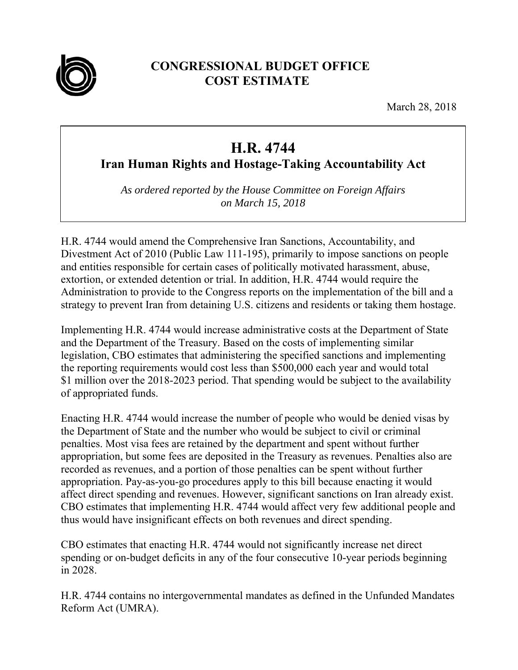

## **CONGRESSIONAL BUDGET OFFICE COST ESTIMATE**

March 28, 2018

## **H.R. 4744**

**Iran Human Rights and Hostage-Taking Accountability Act** 

*As ordered reported by the House Committee on Foreign Affairs on March 15, 2018* 

H.R. 4744 would amend the Comprehensive Iran Sanctions, Accountability, and Divestment Act of 2010 (Public Law 111-195), primarily to impose sanctions on people and entities responsible for certain cases of politically motivated harassment, abuse, extortion, or extended detention or trial. In addition, H.R. 4744 would require the Administration to provide to the Congress reports on the implementation of the bill and a strategy to prevent Iran from detaining U.S. citizens and residents or taking them hostage.

Implementing H.R. 4744 would increase administrative costs at the Department of State and the Department of the Treasury. Based on the costs of implementing similar legislation, CBO estimates that administering the specified sanctions and implementing the reporting requirements would cost less than \$500,000 each year and would total \$1 million over the 2018-2023 period. That spending would be subject to the availability of appropriated funds.

Enacting H.R. 4744 would increase the number of people who would be denied visas by the Department of State and the number who would be subject to civil or criminal penalties. Most visa fees are retained by the department and spent without further appropriation, but some fees are deposited in the Treasury as revenues. Penalties also are recorded as revenues, and a portion of those penalties can be spent without further appropriation. Pay-as-you-go procedures apply to this bill because enacting it would affect direct spending and revenues. However, significant sanctions on Iran already exist. CBO estimates that implementing H.R. 4744 would affect very few additional people and thus would have insignificant effects on both revenues and direct spending.

CBO estimates that enacting H.R. 4744 would not significantly increase net direct spending or on-budget deficits in any of the four consecutive 10-year periods beginning in 2028.

H.R. 4744 contains no intergovernmental mandates as defined in the Unfunded Mandates Reform Act (UMRA).